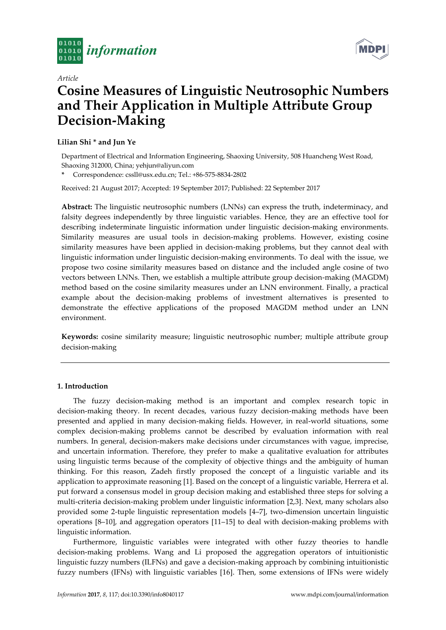



# **Cosine Measures of Linguistic Neutrosophic Numbers and Their Application in Multiple Attribute Group Decision-Making**

## **Lilian Shi \* and Jun Ye**

*Article*

Department of Electrical and Information Engineering, Shaoxing University, 508 Huancheng West Road, Shaoxing 312000, China; yehjun@aliyun.com

**\*** Correspondence: cssll@usx.edu.cn; Tel.: +86-575-8834-2802

Received: 21 August 2017; Accepted: 19 September 2017; Published: 22 September 2017

**Abstract:** The linguistic neutrosophic numbers (LNNs) can express the truth, indeterminacy, and falsity degrees independently by three linguistic variables. Hence, they are an effective tool for describing indeterminate linguistic information under linguistic decision-making environments. Similarity measures are usual tools in decision-making problems. However, existing cosine similarity measures have been applied in decision-making problems, but they cannot deal with linguistic information under linguistic decision-making environments. To deal with the issue, we propose two cosine similarity measures based on distance and the included angle cosine of two vectors between LNNs. Then, we establish a multiple attribute group decision-making (MAGDM) method based on the cosine similarity measures under an LNN environment. Finally, a practical example about the decision-making problems of investment alternatives is presented to demonstrate the effective applications of the proposed MAGDM method under an LNN environment.

**Keywords:** cosine similarity measure; linguistic neutrosophic number; multiple attribute group decision-making

## **1. Introduction**

The fuzzy decision-making method is an important and complex research topic in decision-making theory. In recent decades, various fuzzy decision-making methods have been presented and applied in many decision-making fields. However, in real-world situations, some complex decision-making problems cannot be described by evaluation information with real numbers. In general, decision-makers make decisions under circumstances with vague, imprecise, and uncertain information. Therefore, they prefer to make a qualitative evaluation for attributes using linguistic terms because of the complexity of objective things and the ambiguity of human thinking. For this reason, Zadeh firstly proposed the concept of a linguistic variable and its application to approximate reasoning [1]. Based on the concept of a linguistic variable, Herrera et al. put forward a consensus model in group decision making and established three steps for solving a multi-criteria decision-making problem under linguistic information [2,3]. Next, many scholars also provided some 2-tuple linguistic representation models [4–7], two-dimension uncertain linguistic operations [8–10], and aggregation operators [11–15] to deal with decision-making problems with linguistic information.

Furthermore, linguistic variables were integrated with other fuzzy theories to handle decision-making problems. Wang and Li proposed the aggregation operators of intuitionistic linguistic fuzzy numbers (ILFNs) and gave a decision-making approach by combining intuitionistic fuzzy numbers (IFNs) with linguistic variables [16]. Then, some extensions of IFNs were widely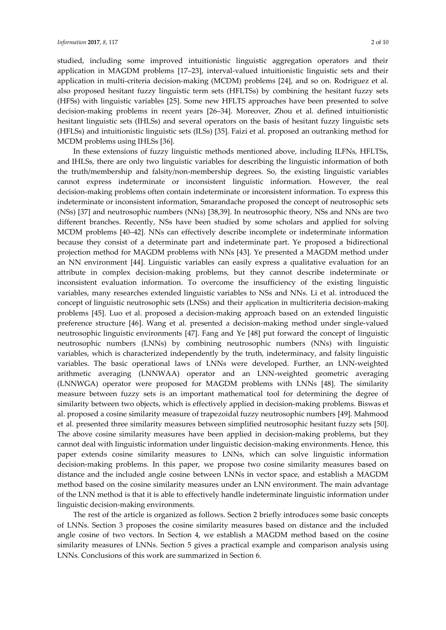studied, including some improved intuitionistic linguistic aggregation operators and their application in MAGDM problems [17–23], interval-valued intuitionistic linguistic sets and their application in multi-criteria decision-making (MCDM) problems [24], and so on. Rodriguez et al. also proposed hesitant fuzzy linguistic term sets (HFLTSs) by combining the hesitant fuzzy sets (HFSs) with linguistic variables [25]. Some new HFLTS approaches have been presented to solve decision-making problems in recent years [26–34]. Moreover, Zhou et al. defined intuitionistic hesitant linguistic sets (IHLSs) and several operators on the basis of hesitant fuzzy linguistic sets (HFLSs) and intuitionistic linguistic sets (ILSs) [35]. Faizi et al. proposed an outranking method for MCDM problems using IHLSs [36].

In these extensions of fuzzy linguistic methods mentioned above, including ILFNs, HFLTSs, and IHLSs, there are only two linguistic variables for describing the linguistic information of both the truth/membership and falsity/non-membership degrees. So, the existing linguistic variables cannot express indeterminate or inconsistent linguistic information. However, the real decision-making problems often contain indeterminate or inconsistent information. To express this indeterminate or inconsistent information, Smarandache proposed the concept of neutrosophic sets (NSs) [37] and neutrosophic numbers (NNs) [38,39]. In neutrosophic theory, NSs and NNs are two different branches. Recently, NSs have been studied by some scholars and applied for solving MCDM problems [40–42]. NNs can effectively describe incomplete or indeterminate information because they consist of a determinate part and indeterminate part. Ye proposed a bidirectional projection method for MAGDM problems with NNs [43]. Ye presented a MAGDM method under an NN environment [44]. Linguistic variables can easily express a qualitative evaluation for an attribute in complex decision-making problems, but they cannot describe indeterminate or inconsistent evaluation information. To overcome the insufficiency of the existing linguistic variables, many researches extended linguistic variables to NSs and NNs. Li et al. introduced the concept of linguistic neutrosophic sets (LNSs) and their application in multicriteria decision-making problems [45]. Luo et al. proposed a decision-making approach based on an extended linguistic preference structure [46]. Wang et al. presented a decision-making method under single-valued neutrosophic linguistic environments [47]. Fang and Ye [48] put forward the concept of linguistic neutrosophic numbers (LNNs) by combining neutrosophic numbers (NNs) with linguistic variables, which is characterized independently by the truth, indeterminacy, and falsity linguistic variables. The basic operational laws of LNNs were developed. Further, an LNN-weighted arithmetic averaging (LNNWAA) operator and an LNN-weighted geometric averaging (LNNWGA) operator were proposed for MAGDM problems with LNNs [48]. The similarity measure between fuzzy sets is an important mathematical tool for determining the degree of similarity between two objects, which is effectively applied in decision-making problems. Biswas et al. proposed a cosine similarity measure of trapezoidal fuzzy neutrosophic numbers [49]. Mahmood et al. presented three similarity measures between simplified neutrosophic hesitant fuzzy sets [50]. The above cosine similarity measures have been applied in decision-making problems, but they cannot deal with linguistic information under linguistic decision-making environments. Hence, this paper extends cosine similarity measures to LNNs, which can solve linguistic information decision-making problems. In this paper, we propose two cosine similarity measures based on distance and the included angle cosine between LNNs in vector space, and establish a MAGDM method based on the cosine similarity measures under an LNN environment. The main advantage of the LNN method is that it is able to effectively handle indeterminate linguistic information under linguistic decision-making environments.

The rest of the article is organized as follows. Section 2 briefly introduces some basic concepts of LNNs. Section 3 proposes the cosine similarity measures based on distance and the included angle cosine of two vectors. In Section 4, we establish a MAGDM method based on the cosine similarity measures of LNNs. Section 5 gives a practical example and comparison analysis using LNNs. Conclusions of this work are summarized in Section [6.](http://www.sciencedirect.com.dbgw.lis.curtin.edu.au/science/article/pii/S1568494612000555#sec0100)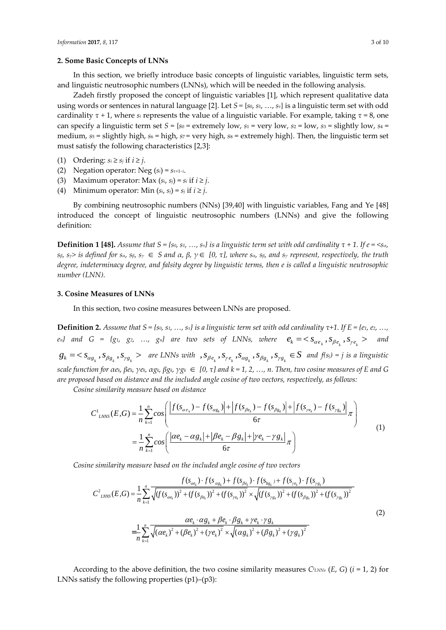#### **2. Some Basic Concepts of LNNs**

In this section, we briefly introduce basic concepts of linguistic variables, linguistic term sets, and linguistic neutrosophic numbers (LNNs), which will be needed in the following analysis.

Zadeh firstly proposed the concept of linguistic variables [1], which represent qualitative data using words or sentences in natural language [2]. Let *S =* {*s*0, *s*1, …, *sτ*} is a linguistic term set with odd cardinality  $\tau$  + 1, where *si* represents the value of a linguistic variable. For example, taking  $\tau$  = 8, one can specify a linguistic term set  $S = \{s_0 =$  extremely low,  $s_1 =$  very low,  $s_2 =$  low,  $s_3 =$  slightly low,  $s_4 =$ medium,  $s_5$  = slightly high,  $s_6$  = high,  $s_7$  = very high,  $s_8$  = extremely high}. Then, the linguistic term set must satisfy the following characteristics [2,3]:

- (1) Ordering:  $s_i \geq s_j$  if  $i \geq j$ .
- (2) Negation operator: Neg  $(s_i) = s_{\tau+1-i}$ .
- (3) Maximum operator: Max  $(s_i, s_j) = s_i$  if  $i \geq j$ .
- (4) Minimum operator: Min  $(s_i, s_j) = s_j$  if  $i \geq j$ .

By combining neutrosophic numbers (NNs) [39,40] with linguistic variables, Fang and Ye [48] introduced the concept of linguistic neutrosophic numbers (LNNs) and give the following definition:

**Definition 1 [48].** *Assume that*  $S = \{s_0, s_1, ..., s_\tau\}$  *is a linguistic term set with odd cardinality*  $\tau + 1$ *. If*  $e = \langle s_\alpha, s_\tau \rangle$  $s_\beta,\,s_\gamma$ > is defined for  $s_\alpha,\,s_\beta,\,s_\gamma\,\in\,\,S$  and  $\alpha,\,\beta,\,\gamma\in\,[0,\,\tau]$ , where  $s_\alpha,\,s_\beta$ , and  $s_\gamma$  represent, respectively, the truth *degree, indeterminacy degree, and falsity degree by linguistic terms, then e is called a linguistic neutrosophic number (LNN).*

#### **3. Cosine Measures of LNNs**

In this section, two cosine measures between LNNs are proposed.

**Definition 2.** Assume that  $S = \{s_0, s_1, ..., s_{\tau}\}\$  is a linguistic term set with odd cardinality  $\tau$ +1. If  $E = \{e_1, e_2, ..., e_{\tau}\}$ en} and G = {g1, g2, ..., gn} are two sets of LNNs, where  $e^{}_k = <\!s^{}_{\alpha e^{}_k}, s^{}_{\beta e^{}_k}, s^{}_{\gamma e^{}_k}>$  and  $g_k = \langle s_{\alpha g_k}, s_{\beta g_k}, s_{\gamma g_k} \rangle$  are LNNs with  $s_{\beta e_k}, s_{\gamma e_k}, s_{\alpha g_k}, s_{\beta g_k}, s_{\gamma g_k} \in S$  and  $f(s_j) = j$  is a linguistic scale function for  $\alpha$ ex, βex, γex,  $\alpha$ gx, βgx, γgx  $\in$  [0, τ] and k = 1, 2, …, n. Then, two cosine measures of E and G *are proposed based on distance and the included angle cosine of two vectors, respectively, as follows:*

*Cosine similarity measure based on distance*

$$
C_{LNNS}^{1}(E,G) = \frac{1}{n} \sum_{k=1}^{n} \cos\left(\frac{\left|f(s_{\alpha e_k}) - f(s_{\alpha g_k})\right| + \left|f(s_{\beta e_k}) - f(s_{\beta g_k})\right| + \left|f(s_{\gamma e_k}) - f(s_{\gamma g_k})\right|}{6\tau}\right) \right)
$$
  
= 
$$
\frac{1}{n} \sum_{k=1}^{n} \cos\left(\frac{|\alpha e_k - \alpha g_k| + |\beta e_k - \beta g_k| + |\gamma e_k - \gamma g_k|}{6\tau}\pi\right)
$$
 (1)

*Cosine similarity measure based on the included angle cosine of two vectors*

$$
C_{LNNS}^{2}(E,G) = \frac{1}{n} \sum_{k=1}^{n} \frac{f(s_{\alpha e_k}) \cdot f(s_{\alpha g_k}) + f(s_{\beta e_k}) \cdot f(s_{\beta g_k}) + f(s_{\gamma e_k}) \cdot f(s_{\gamma g_k})}{\sqrt{(f(s_{\alpha e_k}))^2 + (f(s_{\beta e_k}))^2 + (f(s_{\gamma e_k}))^2 \times \sqrt{(f(s_{\gamma g_k}))^2 + (f(s_{\beta g_k}))^2 + (f(s_{\gamma g_k}))^2}}
$$
\n
$$
= \frac{1}{n} \sum_{k=1}^{n} \frac{\alpha e_k \cdot \alpha g_k + \beta e_k \cdot \beta g_k + \gamma e_k \cdot \gamma g_k}{\sqrt{(\alpha e_k)^2 + (\beta e_k)^2 + (\gamma e_k)^2 \times \sqrt{(\alpha g_k)^2 + (\beta g_k)^2 + (\gamma g_k)^2}}}
$$
\n(2)

According to the above definition, the two cosine similarity measures  $C<sup>i</sup>NNs$  (*E*, *G*) (*i* = 1, 2) for LNNs satisfy the following properties (p1)–(p3):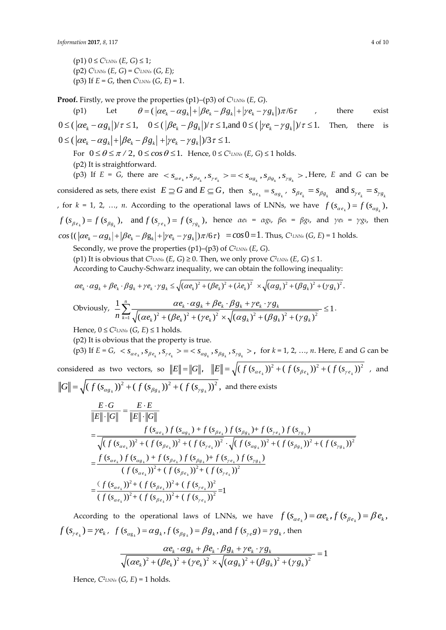(p1) 0 ≤ *C<sup>i</sup> LNNs* (*E*, *G*) ≤ 1; (p2) *C<sup>i</sup> LNNs* (*E*, *G*) = *C<sup>i</sup> LNNs* (*G*, *E*); (p3) If  $E = G$ , then  $C$ <sup>*i*</sup>LNNs</sub> (*G*, *E*) = 1.

**Proof.** Firstly, we prove the properties (p1)–(p3) of *C*<sup>1</sup> *LNNs* (*E*, *G*).

Let  $\theta = (\vert \alpha e_k - \alpha g_k \vert + \vert \beta e_k - \beta g_k \vert + \vert \gamma e_k - \gamma g_k \vert) \pi / 6 \tau$ there exist  $0 \leq (|\alpha e_k - \alpha g_k|)/\tau \leq 1$ ,  $0 \leq (|\beta e_k - \beta g_k|)/\tau \leq 1$ , and  $0 \leq (|\gamma e_k - \gamma g_k|)/\tau \leq 1$ . Then, there is  $0 \leq ( \left| \alpha e_k - \alpha g_k \right| + \left| \beta e_k - \beta g_k \right| + \left| \gamma e_k - \gamma g_k \right| )/3 \tau \leq 1.$ 

For  $0 \le \theta \le \pi/2$ ,  $0 \le \cos \theta \le 1$ . Hence,  $0 \le C^1$ *LNNs*  $(E, G) \le 1$  holds.

(p2) It is straightforward.

(p3) If  $E = G$ , there are  $\langle s_{\alpha e_k}, s_{\beta e_k}, s_{\gamma e_k} \rangle = \langle s_{\alpha g_k}, s_{\beta g_k}, s_{\gamma g_k} \rangle$ . Here, E and G can be considered as sets, there exist  $E \supseteq G$  and  $E \subseteq G$ , then  $s_{\alpha e_k} = s_{\alpha g_k}$ ,  $s_{\beta e_k} = s_{\beta g_k}$  and  $s_{\gamma e_k} = s_{\gamma g_k}$ *E*):<br> *E*) = 1.<br>
perfies (p1)-(p3) of C<sup>1</sup>*xN*86 (*E*, *G*).<br>  $\ell \ell_k - \alpha g_k | + |\beta \ell_k - \beta g_i| + |\gamma \ell_k - \gamma g_i|$ ) $\pi / 6\tau$  there exist<br>  $(\vert \beta \ell_k - \beta g_k \vert) / 7 \leq 1$ , and  $0 \leq (\vert \gamma \ell_k - \gamma g_k \vert) / 7 \leq 1$ . Then, there is<br>  $\vert \ell \vert \ell \ell_k - \gamma g_k \vert$ , for  $k = 1, 2, ..., n$ . According to the operational laws of LNNs, we have  $f(s_{\alpha}) = f(s_{\alpha})$ , 4 of 10<br>
there exist<br>
Then, there is<br>  $E$  and  $G$  can be<br>  $\text{and } S_{\gamma e_k} = S_{\gamma g_k}$ <br>  $(S_{\alpha e_k}) = f(S_{\alpha g_k}),$ <br>  $\gamma e_k = \gamma g_k$ , then<br>
1 holds. **h**<br>**h**, there is<br>and *G* can be<br>**nd**  $s_{\gamma e_k} = s_{\gamma g_k}$ <br> $e_k$ ) = *f* ( $s_{\alpha g_k}$ ),<br> $s_k$  =  $\gamma g_k$ , then<br>aolds. *f* and  $f(\theta)$  is  $f(\theta)$ ,  $f(\theta)$   $f(\theta)$ ,  $f(\theta)$   $f(\theta)$ ,  $f(\theta)$   $f(\theta)$   $f(\theta)$   $f(\theta)$   $f(\theta)$   $f(\theta)$   $f(\theta)$   $f(\theta)$   $f(\theta)$   $f(\theta)$   $f(\theta)$   $f(\theta)$   $f(\theta)$   $f(\theta)$   $f(\theta)$   $f(\theta)$   $f(\theta)$   $f(\theta)$   $f(\theta)$   $f(\theta)$   $f(\theta)$   $f(\theta)$   $f(\theta)$   $f(\theta$  $f(s_{\beta e_k}) = f(s_{\beta g_k})$ , and  $f(s_{\gamma e_k}) = f(s_{\gamma g_k})$ , hence  $\alpha e_k = \alpha g_k$ ,  $\beta e_k = \beta g_k$ , and  $\gamma e_k = \gamma g_k$ , then  $cos\left((\left|\alpha e_k-\alpha g_k\right|+\left|\beta e_k-\beta g_k\right|+\left|\gamma e_k-\gamma g_k\right|)\pi/6\tau\right)\ =cos0\!=\!1$ . Thus, C<sup>1</sup>LNNs (G, E) = 1 holds. 4 of 10<br>
2 2 (  $C_{\text{tr}}(E, G)$ ,<br>  $-\beta g_k| + y \epsilon_k - \gamma g_k|$ ) $x/6\tau$ , there exist<br>  $\epsilon \leq \ln \text{ad } 0 \leq (|y \epsilon_k - \gamma g_k|) / \tau \leq 1$ . Then, there is<br>  $\epsilon \leq 1$ ,<br>  $\epsilon \leq C_{\text{trivic}}(E, G) \leq 1$  holds,<br>  $\epsilon_k \geq -c s_{\text{tric},k}, s_{\text{tric},k}, s_{\text{tric},k} >$ .

Secondly, we prove the properties (p1)–(p3) of *C*<sup>2</sup> *LNNs* (*E*, *G*).

(p1) It is obvious that  $C^2$ *LNNs* (*E*, *G*)  $\geq$  0. Then, we only prove  $C^2$ *LNNs* (*E*, *G*)  $\leq$  1.

According to Cauchy-Schwarz inequality, we can obtain the following inequality:

$$
\alpha e_k \cdot \alpha g_k + \beta e_k \cdot \beta g_k + \gamma e_k \cdot \gamma g_k \le \sqrt{(\alpha e_k)^2 + (\beta e_k)^2 + (\lambda e_k)^2} \times \sqrt{(\alpha g_k)^2 + (\beta g_k)^2 + (\gamma g_k)^2}.
$$
  
Obviously, 
$$
\frac{1}{n} \sum_{k=1}^n \frac{\alpha e_k \cdot \alpha g_k + \beta e_k \cdot \beta g_k + \gamma e_k \cdot \gamma g_k}{\sqrt{(\alpha e_k)^2 + (\beta e_k)^2 + (\gamma e_k)^2} \times \sqrt{(\alpha g_k)^2 + (\beta g_k)^2 + (\gamma g_k)^2}} \le 1.
$$

Hence, 0 ≤ *C*<sup>2</sup> *LNNs* (*G*, *E*) ≤ 1 holds.

(p2) It is obvious that the property is true.

(p3) If  $E = G$ ,  $\langle S_{\alpha e_k}, S_{\beta e_k}, S_{\gamma e_k} \rangle = \langle S_{\alpha g_k}, S_{\beta g_k}, S_{\gamma g_k} \rangle$ , for  $k = 1, 2, ..., n$ . Here, E and G can be considered as two vectors, so  $||E|| = ||G||$ ,  $||E|| = \sqrt{(f(s_{\alpha e_1}))^2 + (f(s_{\beta e_2}))^2 + (f(s_{\gamma e_1}))^2}$ , and onsidered as two vectors, so  $||E|| = ||G||$ ,  $||E|| = \sqrt{(f (s_{\alpha e_k}))^2 + (f (s_{\beta g_k}))^2 + (f (s_{\beta g_k}))^2 + (f (s_{\beta g_k}))^2}$ , and there exists

2 2 2 2 2 2 2 2 ( ) ( ) + ( ) ( )+ ( ) ( ) =( ( )) ( ( )) ( ( )) ( ( )) ( ( )) ( ( )) ( ) ( ) + ( ) ( )+ ( ) ( ) =( ( )) + ( ( )) + ( ( *k k k k k k k k k k k k k k k k k k k k e g e g e g e e e g g g e g e g e g e e e E G E E E G E G f s f s f s f s f s f s f s f s f s f s f s f s f s f s f s f s f s f s f s f s f s* <sup>2</sup> 2 2 2 2 2 2 )) ( )) + ( ( )) + ( ( )) = =1 ( ( )) + ( ( )) + ( ( )) ( *k k k k k k k e e e e e e f s f s f s f s f s f s* , g ( ) ( ) and ( ) *k k k g k e k f s g , f s g , f s g g* , then

According to the operational laws of LNNs, we have  $f(s_{\alpha e_k}) = \alpha e_k$ ,  $f(s_{\beta e_k}) = \beta e_k$ ,  $f(s_{\gamma e_k}) = \gamma e_k$ 

$$
\frac{\alpha e_k \cdot \alpha g_k + \beta e_k \cdot \beta g_k + \gamma e_k \cdot \gamma g_k}{\sqrt{(\alpha e_k)^2 + (\beta e_k)^2 + (\gamma e_k)^2} \times \sqrt{(\alpha g_k)^2 + (\beta g_k)^2 + (\gamma g_k)^2}} = 1
$$

Hence, *C*<sup>2</sup> *LNNs* (*G*, *E*) = 1 holds.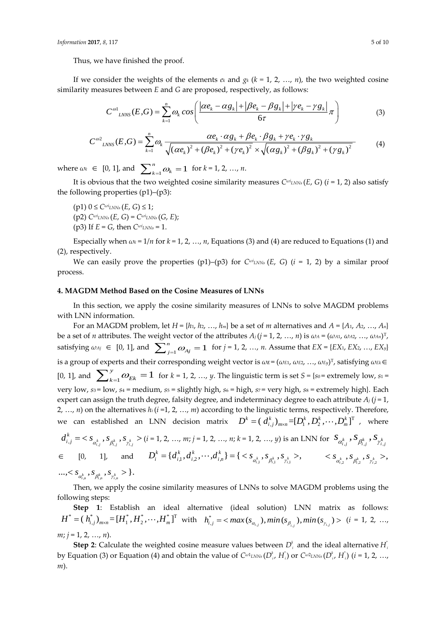Thus, we have finished the proof.

If we consider the weights of the elements  $e_k$  and  $g_k$  ( $k = 1, 2, ..., n$ ), the two weighted cosine similarity measures between *E* and *G* are proposed, respectively, as follows:

$$
C^{\omega l}{}_{L N N S}(E, G) = \sum_{k=1}^{n} \omega_k \cos \left( \frac{|\alpha e_k - \alpha g_k| + |\beta e_k - \beta g_k| + |\gamma e_k - \gamma g_k|}{6\tau} \pi \right) \tag{3}
$$

$$
C^{\omega 2}{}_{LNNS}(E,G) = \sum_{k=1}^{n} \omega_k \frac{\alpha e_k \cdot \alpha g_k + \beta e_k \cdot \beta g_k + \gamma e_k \cdot \gamma g_k}{\sqrt{(\alpha e_k)^2 + (\beta e_k)^2 + (\gamma e_k)^2} \times \sqrt{(\alpha g_k)^2 + (\beta g_k)^2 + (\gamma g_k)^2}}
$$
(4)

where  $\omega_k \in [0, 1]$ , and  $\sum_{k=1}^n \omega_k = 1$  for  $k = 1, 2, ..., n$ .  $\sum_{k=1}^{n} \omega_k = 1$  for  $k = 1, 2, ..., n$ .

It is obvious that the two weighted cosine similarity measures  $C^{\omega t_{LNNs}}(E, G)$  (*i* = 1, 2) also satisfy the following properties (p1)–(p3):

- (p1) 0 ≤ *Cω<sup>i</sup> LNNs* (*E*, *G*) ≤ 1;
- (p2) *Cω<sup>i</sup> LNNs* (*E*, *G*) = *Cω<sup>i</sup> LNNs* (*G*, *E*);
- (p3) If  $E = G$ , then  $C^{\omega i}$  *LNNs* = 1.

Especially when  $\omega_k = 1/n$  for  $k = 1, 2, ..., n$ , Equations (3) and (4) are reduced to Equations (1) and (2), respectively.

We can easily prove the properties (p1)–(p3) for  $C^{\omega i}$ <sub>*LNNs*</sub> (*E*, *G*) (*i* = 1, 2) by a similar proof process.

### **4. MAGDM Method Based on the Cosine Measures of LNNs**

In this section, we apply the cosine similarity measures of LNNs to solve MAGDM problems with LNN information.

For an MAGDM problem, let  $H = \{h_1, h_2, ..., h_m\}$  be a set of *m* alternatives and  $A = \{A_1, A_2, ..., A_n\}$ be a set of *n* attributes. The weight vector of the attributes  $A_j(j=1, 2, ..., n)$  is  $\omega_A = (\omega_{A1}, \omega_{A2}, ..., \omega_{An})^T$ ,  $\alpha_{A}$   $\alpha_{A}$   $\in$   $[0, 1]$ , and  $\sum_{j=1}^{n} \omega_{A_j} = 1$  for  $j = 1, 2, ..., n$ . Assume that  $EX = \{EX_1, EX_2, ..., EX_y\}$ is a group of experts and their corresponding weight vector is *ω<sup>E</sup>* = (*ωE*1, *ωE*2, …, *ωEy*) <sup>T</sup>, satisfying *ωEk* [0, 1], and  $\sum_{k=1}^{y} \omega_{Ek} = 1$  for  $k = 1, 2, ..., y$ . The linguit  $\sum_{k=1}^{y} \omega_{Ek} = 1$  for  $k = 1, 2, ..., y$ . The linguistic term is set  $S = \{s_0 = \text{extremely low, } s_1 = \text{extremely~} \}$ very low, *s*3 = low, *s*<sup>4</sup> = medium, *s*<sup>5</sup> = slightly high, *s*<sup>6</sup> = high, *s*7 = very high, *s*<sup>8</sup> = extremely high}. Each expert can assign the truth degree, falsity degree, and indeterminacy degree to each attribute  $A_j$  ( $j = 1$ , 2, …, *n*) on the alternatives *hi*(*i* =1, 2, …, *m*) according to the linguistic terms, respectively. Therefore, we can established an LNN decision matrix  $D^k = (d_{i,j}^k)_{m \times n} = [D_1^k, D_2^k, \cdots, D_m^k]^{\mathrm{T}}$ o the linguistic terms, respectively. Therefore,<br>  $D^k = (d_{i,j}^k)_{m \times n} = [D_1^k, D_2^k, \dots, D_m^k]^T$ , where  $\delta_{\beta_{i,j}^k}$  ,  $\delta_{\beta_{i,j}^k}$  ,  $\delta_{\gamma_{i,j}^k}$  $d_{i,j}^k = \langle s_{\alpha_{i,j}^k}, s_{\beta_{i,j}^k}, s_{\gamma_{i,j}^k} \rangle (i = 1, 2, ..., m; j = 1, 2, ..., n; k = 1, 2, ..., y)$  is an LNN for  $s_{\alpha_{i,j}^k}, s_{\beta_{i,j}^k}, s_{\gamma_{i,j}^k}$  $\in$  $[0, 1],$  and  $D_i^k = \{d_{i,1}^k, d_{i,2}^k, \cdots, d_{i,n}^k\} = \{ \langle s_{\alpha_{i,1}^k}, s_{\beta_{i,1}^k}, s_{\gamma_{i,1}^k} \rangle, \langle s_{\alpha_{i,2}^k}, s_{\beta_{i,2}^k}, s_{\gamma_{i,2}^k} \rangle,$ 

 $..., *S*_{\alpha_{i,n}^k}$  ,  $S_{\beta_{i,n}^k}$  ,  $S_{\gamma_{i,n}^k} > \}$ .

Then, we apply the cosine similarity measures of LNNs to solve MAGDM problems using the following steps:

**Step 1**: Establish an ideal alternative (ideal solution) LNN matrix as follows: T **Step 1:** Establish an ideal alternative (ideal solution) LNN matrix as follows:<br> $H^* = (h_{i,j}^*)_{m \times n} = [H_1^*, H_2^*, \cdots, H_m^*]^T$  with  $h_{i,j}^* = < max(s_{\alpha_{i,j}}), min(s_{\beta_{i,j}}), min(s_{\gamma_{i,j}}) > (i = 1, 2, ..., m)$ *m*; *j* = 1, 2, …, *n*).

**Step 2**: Calculate the weighted cosine measure values between  $D_i^k$  and the ideal alternative  $H_i^k$ by Equation (3) or Equation (4) and obtain the value of  $C^{\omega_1}$ <sub>*LNNs*</sub> ( $D_i^k$ ,  $H_i^i$ ) or  $C^{\omega_2}$ <sub>*LNNs*</sub> ( $D_i^k$ ,  $H_i^i$ ) ( $i = 1, 2, ..., n$ *m*).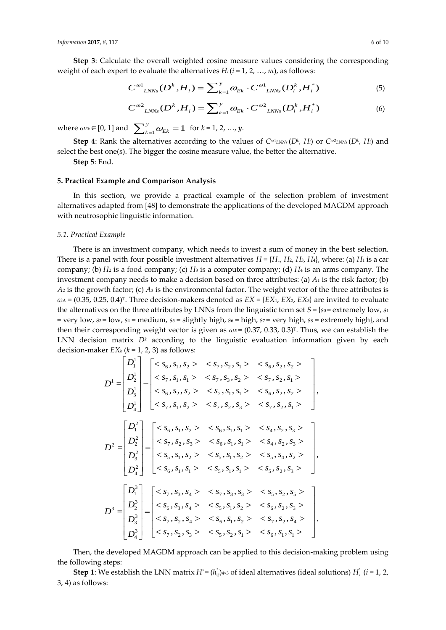**Step 3**: Calculate the overall weighted cosine measure values considering the corresponding weight of each expert to evaluate the alternatives  $H_i$  ( $i = 1, 2, ..., m$ ), as follows:

$$
C^{\omega 1}{}_{LNNs}(D^k, H_i) = \sum\nolimits_{k=1}^y \omega_{Ek} \cdot C^{\omega 1}{}_{LNNs}(D_i^k, H_i^*)
$$
 (5)

$$
C^{\omega 2}{}_{LNNs}(D^k, H_i) = \sum_{k=1}^{y} \omega_{Ek} \cdot C^{\omega 2}{}_{LNNs}(D_i^k, H_i^*)
$$
 (6)

where  $\omega_{E_k} \in [0, 1]$  and  $\sum_{k=1}^{y} \omega_{E_k} = 1$  for  $k = 1, 2, ..., y$ .  $\sum_{k=1}^{y} \omega_{Ek} = 1$  for  $k = 1, 2, ..., y$ .

**Step 4**: Rank the alternatives according to the values of  $C^{\omega_1}$ *LNNs* (*D<sup>k</sup>*, *H<sub>i</sub>*) or  $C^{\omega_2}$ *LNNs* (*D<sup>k</sup>*, *H<sub>i</sub>*) and select the best one(s). The bigger the cosine measure value, the better the alternative.

**Step 5**: End.

#### **5. Practical Example and Comparison Analysis**

In this section, we provide a practical example of the selection problem of investment alternatives adapted from [48] to demonstrate the applications of the developed MAGDM approach with neutrosophic linguistic information.

#### *5.1. Practical Example*

There is an investment company, which needs to invest a sum of money in the best selection. There is a panel with four possible investment alternatives  $H = \{H_1, H_2, H_3, H_4\}$ , where: (a)  $H_1$  is a car company; (b) *H*<sup>2</sup> is a food company; (c) *H*<sup>3</sup> is a computer company; (d) *H*<sup>4</sup> is an arms company. The investment company needs to make a decision based on three attributes: (a)  $A_1$  is the risk factor; (b) *A*<sup>2</sup> is the growth factor; (c) *A*<sup>3</sup> is the environmental factor. The weight vector of the three attributes is  $\omega_A$  = (0.35, 0.25, 0.4)<sup>T</sup>. Three decision-makers denoted as  $EX = \{EX_1, EX_2, EX_3\}$  are invited to evaluate the alternatives on the three attributes by LNNs from the linguistic term set *S =* {*s*0 = extremely low, *s*<sup>1</sup> = very low, *s*3 = low, *s*<sup>4</sup> = medium, *s*<sup>5</sup> = slightly high, *s*<sup>6</sup> = high, *s*7 = very high, *s*<sup>8</sup> = extremely high}, and then their corresponding weight vector is given as  $\omega_E = (0.37, 0.33, 0.3)^T$ . Thus, we can establish the decision-maker  $EX_k$  ( $k = 1, 2, 3$ ) as follows:

LNN decision matrix 
$$
D^k
$$
 according to the linguistic evaluation information given by each decision-market  $EX_k$  ( $k = 1, 2, 3$ ) as follows:  
\n
$$
D^1 = \begin{bmatrix} D_1^1 \\ D_2^1 \\ D_3^1 \\ D_4^1 \end{bmatrix} = \begin{bmatrix}  $s_6, s_1, s_2 > < s_7, s_2, s_1 > < s_6, s_2, s_2 > \\  $s_7, s_1, s_1 > < s_7, s_3, s_2 > < s_7, s_2, s_1 > \\  $s_6, s_2, s_2 > < s_7, s_1, s_1 > < s_6, s_2, s_2 > \\  $s_7, s_1, s_2 > < s_7, s_1, s_2 > < s_7, s_2, s_3 > < s_7, s_2, s_1 > \\  $s_7, s_1, s_2 > < s_7, s_2, s_3 > < s_7, s_2, s_3 > \\  $D^2 = \begin{bmatrix} D_1^2 \\ D_2^2 \\ D_3^2 \\ D_4^2 \end{bmatrix} = \begin{bmatrix}  $s_6, s_1, s_2 > < s_6, s_1, s_1 > < s_4, s_2, s_3 > \\  $s_5, s_1, s_2 > < s_5, s_1, s_2 > < s_5, s_4, s_2 > \\  $s_6, s_1, s_1 > < s_5, s_1, s_2 > < s_5, s_2, s_3 > \\  $D^3 = \begin{bmatrix} D_1^3 \\ D_2^3 \\ D_3^3 \\ D_4^3 \end{bmatrix} = \begin{bmatrix}  $s_7, s_3, s_4 > < s_7, s_3, s_3 > < s_5, s_2, s_5 > \\  $s_6, s_3, s_4 > < s_6, s_1, s_2 > < s_6, s_2, s_3 > \\  $S_7, s_2, s_3 > < s_6, s_1, s_2 > < s_6, s_2, s_3 > \\  $D^3 = \begin{bmatrix} D_1^3 \\ D_2^3 \\ D_3^3 \\ D_4^3 \end{bmatrix} = \begin{bmatrix}  $s_7, s$$$$$$$$$$$$$$$
$$

Then, the developed MAGDM approach can be applied to this decision-making problem using the following steps:

**Step 1**: We establish the LNN matrix  $H^* = (h_{i,j}^*)_{4\times3}$  of ideal alternatives (ideal solutions)  $H^*$  ( $i = 1, 2, 3$ 3, 4) as follows: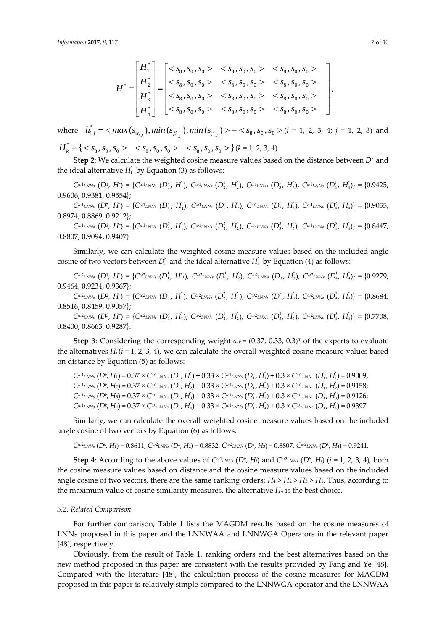$$
H^* = \begin{bmatrix} H_1^* \\ H_2^* \\ H_3^* \\ H_4^* \end{bmatrix} = \begin{bmatrix} < s_8, s_0, s_0 > < s_8, s_0, s_0 > < s_8, s_0, s_0 > \\ < s_8, s_0, s_0 > < s_8, s_0, s_0 > < s_8, s_0, s_0 > \\ < s_8, s_0, s_0 > < s_8, s_0, s_0 > < s_8, s_0, s_0 > \\ < s_8, s_0, s_0 > < s_8, s_0, s_0 > < s_8, s_0, s_0 > \end{bmatrix},
$$

where  $h_{i}^{*}$  $\left[ H_4^* \right] \left[ < s_8, s_0, s_0 > s_8, s_0, s_0 > s_8, s_0, s_0 > \right]$ <br>  $h_{i,j}^* = < max(s_{a_{i,j}}), min(s_{\beta_{i,j}}), min(s_{\gamma_{i,j}}) > = < s_8, s_0, s_0 > (i = 1, 2, 3, 4; j = 1, 2, 3)$  and  $H_k^* = \{ \langle s_8, s_0, s_0 \rangle \langle s_8, s_0, s_0 \rangle \langle s_8, s_0, s_0 \rangle \}$  (k = 1, 2, 3, 4).

**Step 2**: We calculate the weighted cosine measure values based on the distance between  $D_i^k$  and the ideal alternative  $H_{{\rm i}}^{*}$  by Equation (3) as follows:

 $C^{\omega 1}$ LNNs  $(D^1, H^*) = \{C^{\omega 1}$ LNNs  $(D_1^1, H_1^*)$ ,  $C^{\omega 1}$ LNNs  $(D_2^1, H_2^*)$ ,  $C^{\omega 1}$ LNNs  $(D_3^1, H_3^*)$ ,  $C^{\omega 1}$ LNNs  $(D_4^1, H_4^*)\} = \{0.9425,$ 0.9606, 0.9381, 0.9554};

 $C^{\omega 1}$ LNNs  $(D^2, H^*) = \{C^{\omega 1}$ LNNs  $(D_1^2, H_1^*)$ ,  $C^{\omega 1}$ LNNs  $(D_2^2, H_2^*)$ ,  $C^{\omega 1}$ LNNs  $(D_3^2, H_3^*)$ ,  $C^{\omega 1}$ LNNs  $(D_4^2, H_4^*)\} = \{0.9055$ , 0.8974, 0.8869, 0.9212};

 $C^{\omega 1}$ LNNs  $(D^3, H^*) = \{C^{\omega 1}$ LNNs  $(D_1^3, H_1^*)$ ,  $C^{\omega 1}$ LNNs  $(D_2^3, H_2^*)$ ,  $C^{\omega 1}$ LNNs  $(D_3^3, H_3^*)$ ,  $C^{\omega 1}$ LNNs  $(D_4^3, H_4^*)\} = \{0.8447,$ 0.8807, 0.9094, 0.9407}

Similarly, we can calculate the weighted cosine measure values based on the included angle cosine of two vectors between  $D^{\text{k}}_{\text{i}}$  and the ideal alternative  $H_{\text{i}}^{\text{*}}$  by Equation (4) as follows:

 $C^{\omega 2}$ LNNs  $(D^1, H^*) = \{C^{\omega 2}$ LNNs  $(D_1^1, H^*$ ),  $C^{\omega 2}$ LNNs  $(D_2^1, H_2^*)$ ,  $C^{\omega 2}$ LNNs  $(D_3^1, H_3^*)$ ,  $C^{\omega 2}$ LNNs  $(D_4^1, H_4^*)\} = \{0.9279,$ 0.9464, 0.9234, 0.9367};

 $C^{\omega 2}$ LNNs  $(D^2, H^*) = \{C^{\omega 2}$ LNNs  $(D_1^2, H_1^*)$ ,  $C^{\omega 2}$ LNNs  $(D_2^2, H_2^*)$ ,  $C^{\omega 2}$ LNNs  $(D_3^2, H_3^*)$ ,  $C^{\omega 2}$ LNNs  $(D_4^2, H_4^*)\} = \{0.8684$ , 0.8516, 0.8459, 0.9057};

 $C^{\omega 2}$ LNNs  $(D^3, H^*) = \{C^{\omega 2}$ LNNs  $(D_1^3, H_1^*)$ ,  $C^{\omega 2}$ LNNs  $(D_2^3, H_2^*)$ ,  $C^{\omega 2}$ LNNs  $(D_3^3, H_3^*)$ ,  $C^{\omega 2}$ LNNs  $(D_4^3, H_4^*)\} = \{0.7708,$ 0.8400, 0.8663, 0.9287}.

**Step 3**: Considering the corresponding weight  $\omega E = (0.37, 0.33, 0.3)^T$  of the experts to evaluate the alternatives  $H_i$  ( $i = 1, 2, 3, 4$ ), we can calculate the overall weighted cosine measure values based on distance by Equation (5) as follows:

 $C^{\omega 1}$ LNNs  $(D^k, H_1) = 0.37 \times C^{\omega 1}$ LNNs  $(D_1^1, H_1^*)+0.33 \times C^{\omega 1}$ LNNs  $(D_1^2, H_1^*)+0.3 \times C^{\omega 1}$ LNNs  $(D_1^3, H_1^*)=0.9009$  $C^{\omega 1}$ LNNs  $(D^k, H_2) = 0.37 \times C^{\omega 1}$ LNNs  $(D_1^1, H_2^*)+0.33 \times C^{\omega 1}$ LNNs  $(D_1^2, H_2^*)+0.3 \times C^{\omega 1}$ LNNs  $(D_1^3, H_2^*)=0.9158$  $C^{\omega 1}$ LNNs  $(D^k, H_3) = 0.37 \times C^{\omega 1}$ LNNs  $(D_1^1, H_3^*)+0.33 \times C^{\omega 1}$ LNNs  $(D_1^2, H_3^*)+0.3 \times C^{\omega 1}$ LNNs  $(D_1^3, H_3^*)=0.9126$  $C^{\omega 1}$ LNNs  $(D^k, H_4) = 0.37 \times C^{\omega 1}$ LNNs  $(D_1^1, H_4^*) + 0.33 \times C^{\omega 1}$ LNNs  $(D_1^2, H_4^*) + 0.3 \times C^{\omega 1}$ LNNs  $(D_1^3, H_4^*) = 0.9397$ .

Similarly, we can calculate the overall weighted cosine measure values based on the included angle cosine of two vectors by Equation (6) as follows:

 $C^{\omega 2}$ LNNs (D<sup>k</sup>, H<sub>1</sub>) = 0.8611,  $C^{\omega 2}$ LNNs (D<sup>k</sup>, H<sub>2</sub>) = 0.8832,  $C^{\omega 2}$ LNNs (D<sup>k</sup>, H<sub>3</sub>) = 0.8807,  $C^{\omega 2}$ LNNs (D<sup>k</sup>, H<sub>4</sub>) = 0.9241.

**Step 4**: According to the above values of  $C^{\omega_1}$ *LNNs* (*D*<sup>*k*</sup>, *H<sub>i</sub>*) and  $C^{\omega_2}$ *LNNs* (*D*<sup>*k*</sup>, *H<sub>i</sub>*) (*i* = 1, 2, 3, 4), both the cosine measure values based on distance and the cosine measure values based on the included angle cosine of two vectors, there are the same ranking orders:  $H_4 > H_2 > H_3 > H_1$ . Thus, according to the maximum value of cosine similarity measures, the alternative *H*<sup>4</sup> is the best choice.

#### *5.2. Related Comparison*

For further comparison, Table 1 lists the MAGDM results based on the cosine measures of LNNs proposed in this paper and the LNNWAA and LNNWGA Operators in the relevant paper [48], respectively.

Obviously, from the result of Table 1, ranking orders and the best alternatives based on the new method proposed in this paper are consistent with the results provided by Fang and Ye [48]. Compared with the literature [48], the calculation process of the cosine measures for MAGDM proposed in this paper is relatively simple compared to the LNNWGA operator and the LNNWAA

,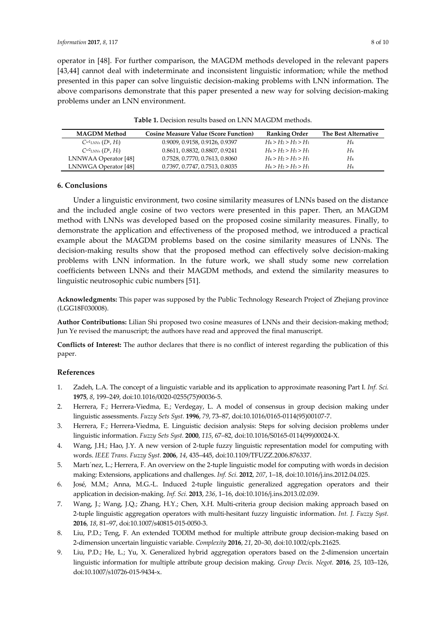operator in [48]. For further comparison, the MAGDM methods developed in the relevant papers [43,44] cannot deal with indeterminate and inconsistent linguistic information; while the method presented in this paper can solve linguistic decision-making problems with LNN information. The above comparisons demonstrate that this paper presented a new way for solving decision-making problems under an LNN environment.

| <b>MAGDM Method</b>              | <b>Cosine Measure Value (Score Function)</b> | <b>Ranking Order</b>          | The Best Alternative |
|----------------------------------|----------------------------------------------|-------------------------------|----------------------|
| $C^{\omega 1}$ LNNs $(D^k, H_i)$ | 0.9009, 0.9158, 0.9126, 0.9397               | $H_4$ > $H_2$ > $H_3$ > $H_1$ | H <sub>4</sub>       |
| $C^{\omega2}$ LNNs $(D^k, H_i)$  | 0.8611, 0.8832, 0.8807, 0.9241               | $H_4$ > $H_2$ > $H_3$ > $H_1$ | $H_4$                |
| LNNWAA Operator [48]             | 0.7528, 0.7770, 0.7613, 0.8060               | $H_4$ > $H_2$ > $H_3$ > $H_1$ | $H_4$                |
| LNNWGA Operator [48]             | 0.7397, 0.7747, 0.7513, 0.8035               | $H_4$ > $H_2$ > $H_3$ > $H_1$ | H4                   |

**Table 1.** Decision results based on LNN MAGDM methods.

## **6. Conclusions**

Under a linguistic environment, two cosine similarity measures of LNNs based on the distance and the included angle cosine of two vectors were presented in this paper. Then, an MAGDM method with LNNs was developed based on the proposed cosine similarity measures. Finally, to demonstrate the application and effectiveness of the proposed method, we introduced a practical example about the MAGDM problems based on the cosine similarity measures of LNNs. The decision-making results show that the proposed method can effectively solve decision-making problems with LNN information. In the future work, we shall study some new correlation coefficients between LNNs and their MAGDM methods, and extend the similarity measures to linguistic neutrosophic cubic numbers [51].

**Acknowledgments:** This paper was supposed by the Public Technology Research Project of Zhejiang province (LGG18F030008).

**Author Contributions:** Lilian Shi proposed two cosine measures of LNNs and their decision-making method; Jun Ye revised the manuscript; the authors have read and approved the final manuscript.

**Conflicts of Interest:** The author declares that there is no conflict of interest regarding the publication of this paper.

## **References**

- 1. Zadeh, L.A. The concept of a linguistic variable and its application to approximate reasoning Part I. *Inf. Sci.* **1975**, *8*, 199–249, doi:10.1016/0020-0255(75)90036-5.
- 2. Herrera, F.; Herrera-Viedma, E.; Verdegay, L. A model of consensus in group decision making under linguistic assessments. *Fuzzy Sets Syst.* **1996**, *79*, 73–87, doi:10.1016/0165-0114(95)00107-7.
- 3. Herrera, F.; Herrera-Viedma, E. Linguistic decision analysis: Steps for solving decision problems under linguistic information. *Fuzzy Sets Syst.* **2000**, *115*, 67–82, [doi:10.1016/S0165](https://doi.org/10.1016/S0165-0114(99)00024-X)-0114(99)00024-X.
- 4. Wang, J.H.; Hao, J.Y. A new version of 2-tuple fuzzy linguistic representation model for computing with words. *IEEE Trans. Fuzzy Syst.* **2006**, *14*, 435–445, doi:[10.1109/TFUZZ.2006.876337.](https://doi.org/10.1109/TFUZZ.2006.876337)
- 5. Martı´nez, L.; Herrera, F. An overview on the 2-tuple linguistic model for computing with words in decision making: Extensions, applications and challenges. *Inf. Sci.* **2012**, *207*, 1–18, [doi:10.1016/j.ins.2012.04.025.](https://doi.org/10.1016/j.ins.2012.04.025)
- 6. José, M.M.; Anna, M.G.-L. Induced 2-tuple linguistic generalized aggregation operators and their application in decision-making. *Inf. Sci.* **2013**, *236*, 1–16, doi:10.1016/j.ins.2013.02.039.
- 7. Wang, J.; Wang, J.Q.; Zhang, H.Y.; Chen, X.H. Multi-criteria group decision making approach based on 2-tuple linguistic aggregation operators with multi-hesitant fuzzy linguistic information. *Int. J. Fuzzy Syst.* **2016**, *18*, 81–97, doi:10.1007/s40815-015-0050-3.
- 8. Liu, P.D.; Teng, F. An extended TODIM method for multiple attribute group decision-making based on 2-dimension uncertain linguistic variable. *Complexity* **2016**, *21*, 20–30, doi:10.1002/cplx.21625.
- 9. Liu, P.D.; He, L.; Yu, X. Generalized hybrid aggregation operators based on the 2-dimension uncertain linguistic information for multiple attribute group decision making. *Group Decis. Negot.* **2016**, *25*, 103–126, doi:10.1007/s10726-015-9434-x.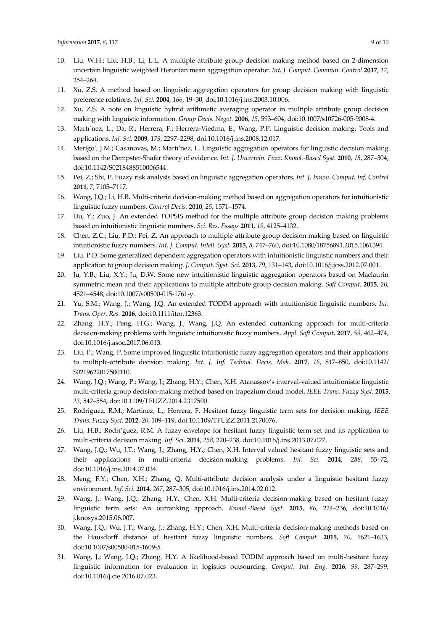- 10. Liu, W.H.; Liu, H.B.; Li, L.L. A multiple attribute group decision making method based on 2-dimension uncertain linguistic weighted Heronian mean aggregation operator. *Int. J. Comput. Commun. Control* **2017**, *12*, 254–264.
- 11. Xu, Z.S. A method based on linguistic aggregation operators for group decision making with linguistic preference relations. *Inf. Sci.* **2004**, *166*, 19–30, doi:10.1016/j.ins.2003.10.006.
- 12. Xu, Z.S. A note on linguistic hybrid arithmetic averaging operator in multiple attribute group decision making with linguistic information. *Group Decis. Negot.* **2006**, *15*, 593–604, doi:10.1007/s10726-005-9008-4.
- 13. Martı´nez, L.; Da, R.; Herrera, F.; Herrera-Viedma, E.; Wang, P.P. Linguistic decision making: Tools and applications. *Inf. Sci.* **2009**, *179*, 2297–2298, doi:10.1016/j.ins.2008.12.017.
- 14. Merigo', J.M.; Casanovas, M.; Martı'nez, L. Linguistic aggregation operators for linguistic decision making based on the Dempster-Shafer theory of evidence. *Int. J. Uncertain. Fuzz. Knowl.-Based Syst.* **2010**, *18*, 287–304, [doi:10.1142/S0218488510006544.](https://doi.org/10.1142/S0218488510006544)
- 15. Pei, Z.; Shi, P. Fuzzy risk analysis based on linguistic aggregation operators. *Int. J. Innov. Comput. Inf. Control* **2011**, *7*, 7105–7117.
- 16. Wang, J.Q.; Li, H.B. Multi-criteria decision-making method based on aggregation operators for intuitionistic linguistic fuzzy numbers. *Control Decis.* **2010**, *25*, 1571–1574.
- 17. Du, Y.; Zuo, J. An extended TOPSIS method for the multiple attribute group decision making problems based on intuitionistic linguistic numbers. *Sci. Res. Essays* **2011**, *19*, 4125–4132.
- 18. Chen, Z.C.; Liu, P.D.; Pei, Z. An approach to multiple attribute group decision making based on linguistic intuitionistic fuzzy numbers. *Int. J. Comput. Intell. Syst.* **2015**, *8*, 747–760, doi:10.1080/18756891.2015.1061394.
- 19. Liu, P.D. Some generalized dependent aggregation operators with intuitionistic linguistic numbers and their application to group decision making. *J. Comput. Syst. Sci.* **2013**, *79*, 131–143, [doi:10.1016/j.jcss.2012.07.001.](https://doi.org/10.1016/j.jcss.2012.07.001)
- 20. Ju, Y.B.; Liu, X.Y.; Ju, D.W. Some new intuitionistic linguistic aggregation operators based on Maclaurin symmetric mean and their applications to multiple attribute group decision making. *Soft Comput.* **2015**, *20*, 4521–4548, doi:10.1007/s00500-015-1761-y.
- 21. Yu, S.M.; Wang, J.; Wang, J.Q. An extended TODIM approach with intuitionistic linguistic numbers. *Int. Trans. Oper. Res.* **2016**, doi:10.1111/itor.12363.
- 22. Zhang, H.Y.; Peng, H.G.; Wang, J.; Wang, J.Q. An extended outranking approach for multi-criteria decision-making problems with linguistic intuitionistic fuzzy numbers. *Appl. Soft Comput.* **2017**, *59*, 462–474, doi:10.1016/j.asoc.2017.06.013.
- 23. Liu, P.; Wang, P. Some improved linguistic intuitionistic fuzzy aggregation operators and their applications to multiple-attribute decision making. *Int. J. Inf. Technol. Decis. Mak.* **2017**, *16*, 817–850, doi:10.1142/ S0219622017500110.
- 24. Wang, J.Q.; Wang, P.; Wang, J.; Zhang, H.Y.; Chen, X.H. Atanassov's interval-valued intuitionistic linguistic multi-criteria group decision-making method based on trapezium cloud model. *IEEE Trans. Fuzzy Syst.* **2015**, *23*, 542–554, doi:[10.1109/TFUZZ.2014.2317500.](https://doi.org/10.1109/TFUZZ.2014.2317500)
- 25. Rodriguez, R.M.; Martinez, L.; Herrera, F. Hesitant fuzzy linguistic term sets for decision making. *IEEE Trans. Fuzzy Syst.* **2012**, *20*, 109–119, doi:[10.1109/TFUZZ.2011.2170076.](https://doi.org/10.1109/TFUZZ.2011.2170076)
- 26. Liu, H.B.; Rodrı'guez, R.M. A fuzzy envelope for hesitant fuzzy linguistic term set and its application to multi-criteria decision making. *Inf. Sci.* **2014**, *258*, 220–238, doi:10.1016/j.ins.2013.07.027.
- 27. Wang, J.Q.; Wu, J.T.; Wang, J.; Zhang, H.Y.; Chen, X.H. Interval valued hesitant fuzzy linguistic sets and their applications in multi-criteria decision-making problems. *Inf. Sci.* **2014**, *288*, 55–72, doi:10.1016/j.ins.2014.07.034.
- 28. Meng, F.Y.; Chen, X.H.; Zhang, Q. Multi-attribute decision analysis under a linguistic hesitant fuzzy environment. *Inf. Sci.* **2014**, *267*, 287–305, doi:10.1016/j.ins.2014.02.012.
- 29. Wang, J.; Wang, J.Q.; Zhang, H.Y.; Chen, X.H. Multi-criteria decision-making based on hesitant fuzzy linguistic term sets: An outranking approach. *Knowl.-Based Syst.* **2015**, *86*, 224–236, doi:10.1016/ j.knosys.2015.06.007.
- 30. Wang, J.Q.; Wu, J.T.; Wang, J.; Zhang, H.Y.; Chen, X.H. Multi-criteria decision-making methods based on the Hausdorff distance of hesitant fuzzy linguistic numbers. *Soft Comput.* **2015**, *20*, 1621–1633, doi:10.1007/s00500-015-1609-5.
- 31. Wang, J.; Wang, J.Q.; Zhang, H.Y. A likelihood-based TODIM approach based on multi-hesitant fuzzy linguistic information for evaluation in logistics outsourcing. *Comput. Ind. Eng.* **2016**, *99*, 287–299, doi:10.1016/j.cie.2016.07.023.